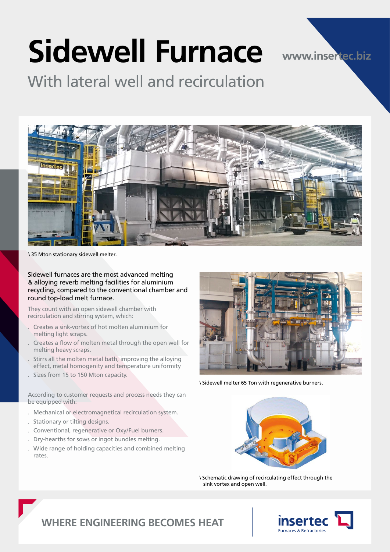# **Sidewell Furnace**

**www.insertec.biz**

With lateral well and recirculation



\ 35 Mton stationary sidewell melter.

Sidewell furnaces are the most advanced melting & alloying reverb melting facilities for aluminium recycling, compared to the conventional chamber and round top-load melt furnace.

They count with an open sidewell chamber with recirculation and stirring system, which:

- . Creates a sink-vortex of hot molten aluminium for melting light scraps.
- . Creates a flow of molten metal through the open well for melting heavy scraps.
- . Stirrs all the molten metal bath, improving the alloying effect, metal homogenity and temperature uniformity
- Sizes from 15 to 150 Mton capacity.

According to customer requests and process needs they can be equipped with:

- . Mechanical or electromagnetical recirculation system.
- . Stationary or tilting designs.
- . Conventional, regenerative or Oxy/Fuel burners.
- . Dry-hearths for sows or ingot bundles melting.
- . Wide range of holding capacities and combined melting rates.



\ Sidewell melter 65 Ton with regenerative burners.



\ Schematic drawing of recirculating effect through the sink vortex and open well.



## **WHERE ENGINEERING BECOMES HEAT**